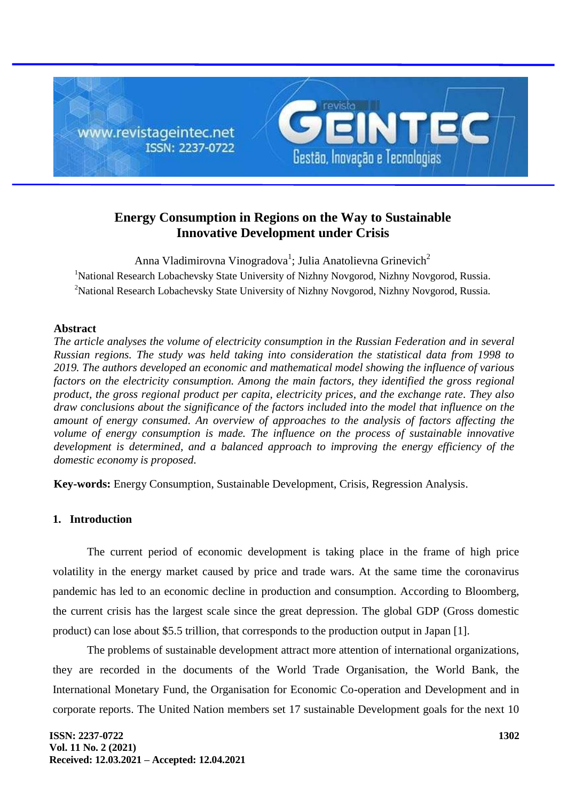

# **Energy Consumption in Regions on the Way to Sustainable Innovative Development under Crisis**

Anna Vladimirovna Vinogradova<sup>1</sup>; Julia Anatolievna Grinevich<sup>2</sup> <sup>1</sup>National Research Lobachevsky State University of Nizhny Novgorod, Nizhny Novgorod, Russia. <sup>2</sup>National Research Lobachevsky State University of Nizhny Novgorod, Nizhny Novgorod, Russia.

## **Abstract**

*The article analyses the volume of electricity consumption in the Russian Federation and in several Russian regions. The study was held taking into consideration the statistical data from 1998 to 2019. The authors developed an economic and mathematical model showing the influence of various factors on the electricity consumption. Among the main factors, they identified the gross regional product, the gross regional product per capita, electricity prices, and the exchange rate. They also draw conclusions about the significance of the factors included into the model that influence on the amount of energy consumed. An overview of approaches to the analysis of factors affecting the volume of energy consumption is made. The influence on the process of sustainable innovative development is determined, and a balanced approach to improving the energy efficiency of the domestic economy is proposed.*

**Key-words:** Energy Consumption, Sustainable Development, Crisis, Regression Analysis.

## **1. Introduction**

The current period of economic development is taking place in the frame of high price volatility in the energy market caused by price and trade wars. At the same time the coronavirus pandemic has led to an economic decline in production and consumption. According to Bloomberg, the current crisis has the largest scale since the great depression. The global GDP (Gross domestic product) can lose about \$5.5 trillion, that corresponds to the production output in Japan [1].

The problems of sustainable development attract more attention of international organizations, they are recorded in the documents of the World Trade Organisation, the World Bank, the International Monetary Fund, the Organisation for Economic Co-operation and Development and in corporate reports. The United Nation members set 17 sustainable Development goals for the next 10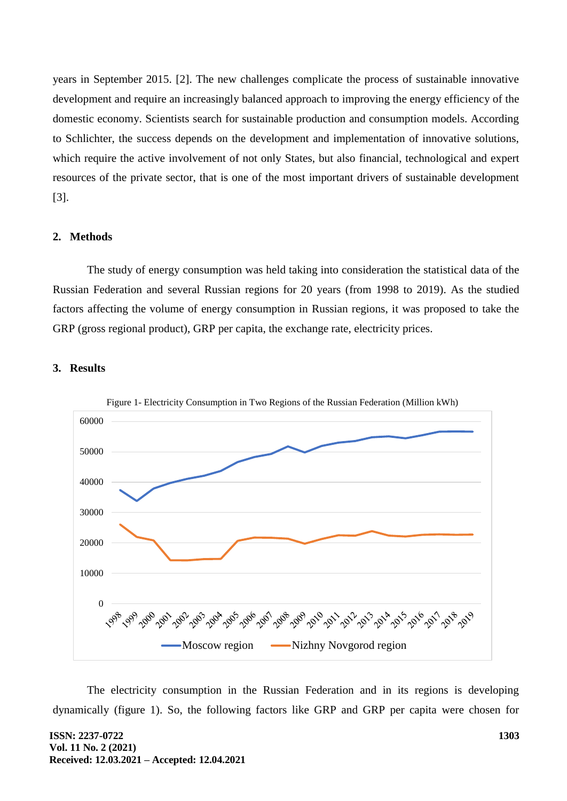years in September 2015. [2]. The new challenges complicate the process of sustainable innovative development and require an increasingly balanced approach to improving the energy efficiency of the domestic economy. Scientists search for sustainable production and consumption models. According to Schlichter, the success depends on the development and implementation of innovative solutions, which require the active involvement of not only States, but also financial, technological and expert resources of the private sector, that is one of the most important drivers of sustainable development [3].

### **2. Methods**

The study of energy consumption was held taking into consideration the statistical data of the Russian Federation and several Russian regions for 20 years (from 1998 to 2019). As the studied factors affecting the volume of energy consumption in Russian regions, it was proposed to take the GRP (gross regional product), GRP per capita, the exchange rate, electricity prices.

#### **3. Results**



The electricity consumption in the Russian Federation and in its regions is developing dynamically (figure 1). So, the following factors like GRP and GRP per capita were chosen for

**ISSN: 2237-0722 Vol. 11 No. 2 (2021) Received: 12.03.2021 – Accepted: 12.04.2021**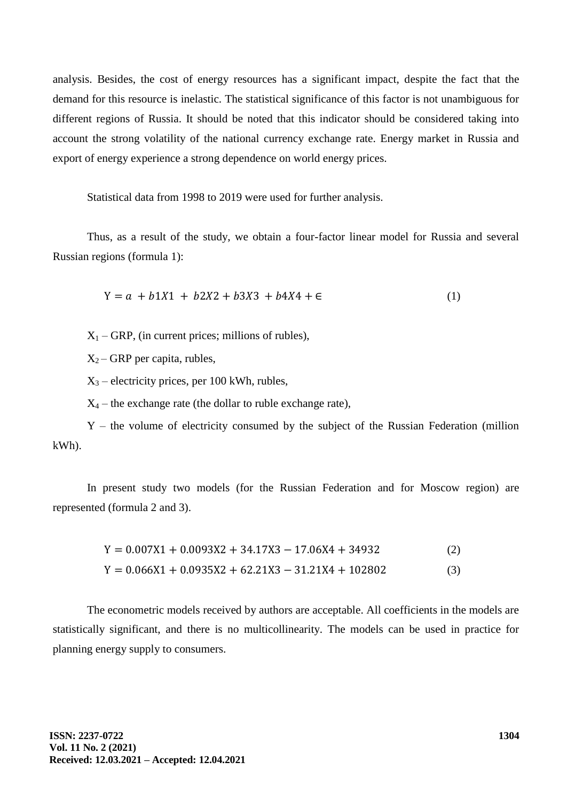analysis. Besides, the cost of energy resources has a significant impact, despite the fact that the demand for this resource is inelastic. The statistical significance of this factor is not unambiguous for different regions of Russia. It should be noted that this indicator should be considered taking into account the strong volatility of the national currency exchange rate. Energy market in Russia and export of energy experience a strong dependence on world energy prices.

Statistical data from 1998 to 2019 were used for further analysis.

Thus, as a result of the study, we obtain a four-factor linear model for Russia and several Russian regions (formula 1):

$$
Y = a + b1X1 + b2X2 + b3X3 + b4X4 + \epsilon
$$
 (1)

 $X_1$  – GRP, (in current prices; millions of rubles),

 $X_2$  – GRP per capita, rubles,

 $X_3$  – electricity prices, per 100 kWh, rubles,

 $X_4$  – the exchange rate (the dollar to ruble exchange rate),

Y – the volume of electricity consumed by the subject of the Russian Federation (million kWh).

In present study two models (for the Russian Federation and for Moscow region) are represented (formula 2 and 3).

> $Y = 0.007X1 + 0.0093X2 + 34.17X3 - 17.06X4 + 34932$  (2)  $Y = 0.066X1 + 0.0935X2 + 62.21X3 - 31.21X4 + 102802$  (3)

The econometric models received by authors are acceptable. All coefficients in the models are statistically significant, and there is no multicollinearity. The models can be used in practice for planning energy supply to consumers.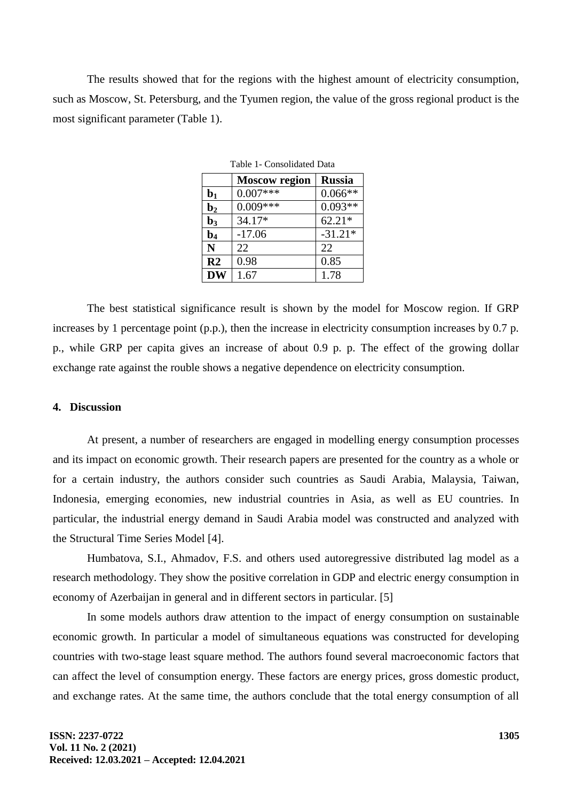The results showed that for the regions with the highest amount of electricity consumption, such as Moscow, St. Petersburg, and the Tyumen region, the value of the gross regional product is the most significant parameter (Table 1).

| Table 1- Consolidated Data |                      |               |  |  |  |
|----------------------------|----------------------|---------------|--|--|--|
|                            | <b>Moscow</b> region | <b>Russia</b> |  |  |  |
| $\mathbf{b}_1$             | $0.007***$           | $0.066**$     |  |  |  |
| $\mathbf{b}_2$             | $0.009***$           | $0.093**$     |  |  |  |
| $\mathbf{b}_3$             | $34.17*$             | $62.21*$      |  |  |  |
| $\mathbf{b}_4$             | $-17.06$             | $-31.21*$     |  |  |  |
| N                          | 22                   | 22            |  |  |  |
| R <sub>2</sub>             | 0.98                 | 0.85          |  |  |  |
|                            | 1.67                 | 1.78          |  |  |  |

The best statistical significance result is shown by the model for Moscow region. If GRP increases by 1 percentage point (p.p.), then the increase in electricity consumption increases by 0.7 p. p., while GRP per capita gives an increase of about 0.9 p. p. The effect of the growing dollar exchange rate against the rouble shows a negative dependence on electricity consumption.

### **4. Discussion**

At present, a number of researchers are engaged in modelling energy consumption processes and its impact on economic growth. Their research papers are presented for the country as a whole or for a certain industry, the authors consider such countries as Saudi Arabia, Malaysia, Taiwan, Indonesia, emerging economies, new industrial countries in Asia, as well as EU countries. In particular, the industrial energy demand in Saudi Arabia model was constructed and analyzed with the Structural Time Series Model [4].

Humbatova, S.I., Ahmadov, F.S. and others used autoregressive distributed lag model as a research methodology. They show the positive correlation in GDP and electric energy consumption in economy of Azerbaijan in general and in different sectors in particular. [5]

In some models authors draw attention to the impact of energy consumption on sustainable economic growth. In particular a model of simultaneous equations was constructed for developing countries with two-stage least square method. The authors found several macroeconomic factors that can affect the level of consumption energy. These factors are energy prices, gross domestic product, and exchange rates. At the same time, the authors conclude that the total energy consumption of all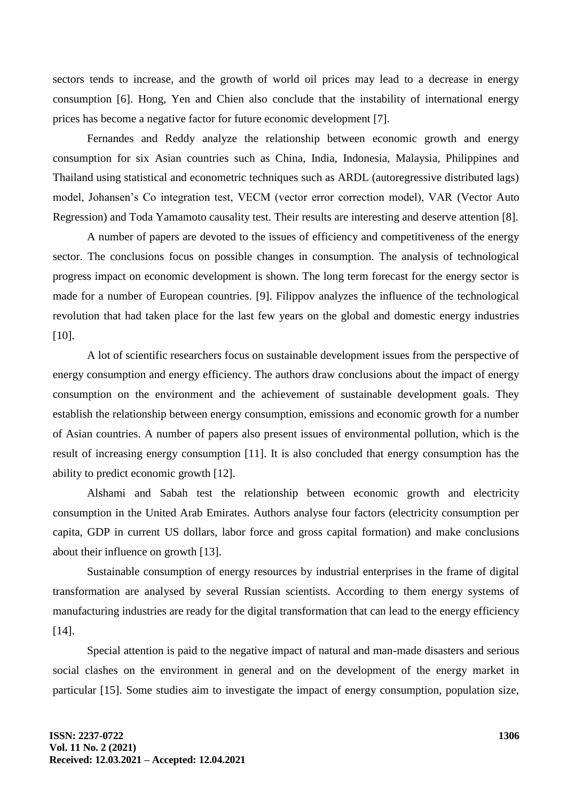sectors tends to increase, and the growth of world oil prices may lead to a decrease in energy consumption [6]. Hong, Yen and Chien also conclude that the instability of international energy prices has become a negative factor for future economic development [7].

Fernandes and Reddy analyze the relationship between economic growth and energy consumption for six Asian countries such as China, India, Indonesia, Malaysia, Philippines and Thailand using statistical and econometric techniques such as ARDL (autoregressive distributed lags) model, Johansen's Co integration test, VECM (vector error correction model), VAR (Vector Auto Regression) and Toda Yamamoto causality test. Their results are interesting and deserve attention [8].

A number of papers are devoted to the issues of efficiency and competitiveness of the energy sector. The conclusions focus on possible changes in consumption. The analysis of technological progress impact on economic development is shown. The long term forecast for the energy sector is made for a number of European countries. [9]. Filippov analyzes the influence of the technological revolution that had taken place for the last few years on the global and domestic energy industries [10].

A lot of scientific researchers focus on sustainable development issues from the perspective of energy consumption and energy efficiency. The authors draw conclusions about the impact of energy consumption on the environment and the achievement of sustainable development goals. They establish the relationship between energy consumption, emissions and economic growth for a number of Asian countries. A number of papers also present issues of environmental pollution, which is the result of increasing energy consumption [11]. It is also concluded that energy consumption has the ability to predict economic growth [12].

Alshami and Sabah test the relationship between economic growth and electricity consumption in the United Arab Emirates. Authors analyse four factors (electricity consumption per capita, GDP in current US dollars, labor force and gross capital formation) and make conclusions about their influence on growth [13].

Sustainable consumption of energy resources by industrial enterprises in the frame of digital transformation are analysed by several Russian scientists. According to them energy systems of manufacturing industries are ready for the digital transformation that can lead to the energy efficiency [14].

Special attention is paid to the negative impact of natural and man-made disasters and serious social clashes on the environment in general and on the development of the energy market in particular [15]. Some studies aim to investigate the impact of energy consumption, population size,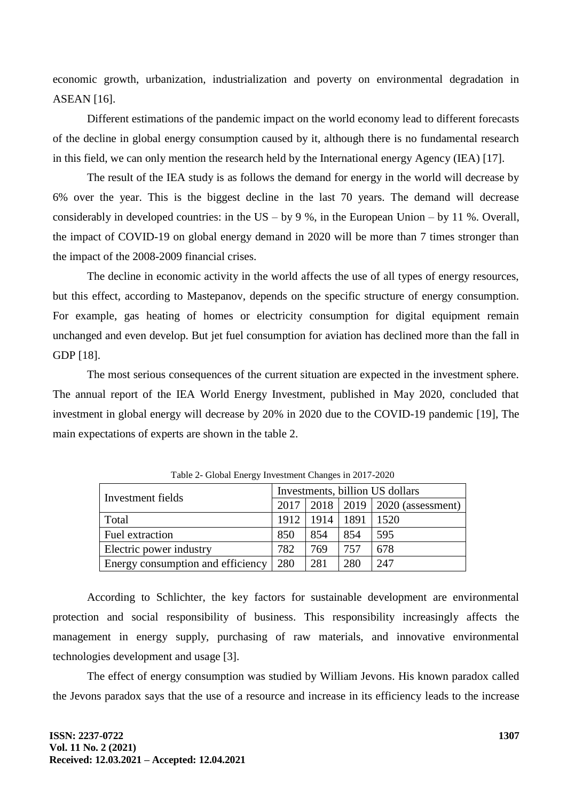economic growth, urbanization, industrialization and poverty on environmental degradation in ASEAN [16].

Different estimations of the pandemic impact on the world economy lead to different forecasts of the decline in global energy consumption caused by it, although there is no fundamental research in this field, we can only mention the research held by the International energy Agency (IEA) [17].

The result of the IEA study is as follows the demand for energy in the world will decrease by 6% over the year. This is the biggest decline in the last 70 years. The demand will decrease considerably in developed countries: in the US – by 9 %, in the European Union – by 11 %. Overall, the impact of COVID-19 on global energy demand in 2020 will be more than 7 times stronger than the impact of the 2008-2009 financial crises.

The decline in economic activity in the world affects the use of all types of energy resources, but this effect, according to Mastepanov, depends on the specific structure of energy consumption. For example, gas heating of homes or electricity consumption for digital equipment remain unchanged and even develop. But jet fuel consumption for aviation has declined more than the fall in GDP [18].

The most serious consequences of the current situation are expected in the investment sphere. The annual report of the IEA World Energy Investment, published in May 2020, concluded that investment in global energy will decrease by 20% in 2020 due to the COVID-19 pandemic [19], The main expectations of experts are shown in the table 2.

|                                   | Investments, billion US dollars |      |      |                                                   |
|-----------------------------------|---------------------------------|------|------|---------------------------------------------------|
| Investment fields                 |                                 |      |      | $2017 \mid 2018 \mid 2019 \mid 2020$ (assessment) |
| Total                             | 1912                            | 1914 | 1891 | 1520                                              |
| Fuel extraction                   | 850                             | 854  | 854  | 595                                               |
| Electric power industry           | 782                             | 769  | 757  | 678                                               |
| Energy consumption and efficiency | 280                             | 281  | 280  | 247                                               |

Table 2- Global Energy Investment Changes in 2017-2020

According to Schlichter, the key factors for sustainable development are environmental protection and social responsibility of business. This responsibility increasingly affects the management in energy supply, purchasing of raw materials, and innovative environmental technologies development and usage [3].

The effect of energy consumption was studied by William Jevons. His known paradox called the Jevons paradox says that the use of a resource and increase in its efficiency leads to the increase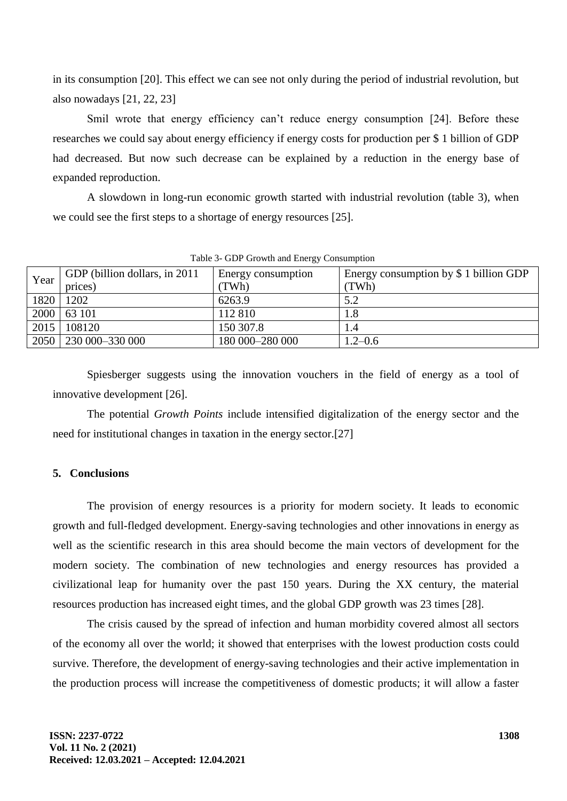in its consumption [20]. This effect we can see not only during the period of industrial revolution, but also nowadays [21, 22, 23]

Smil wrote that energy efficiency can't reduce energy consumption [24]. Before these researches we could say about energy efficiency if energy costs for production per \$ 1 billion of GDP had decreased. But now such decrease can be explained by a reduction in the energy base of expanded reproduction.

A slowdown in long-run economic growth started with industrial revolution (table 3), when we could see the first steps to a shortage of energy resources [25].

| Year | GDP (billion dollars, in 2011) | Energy consumption | Energy consumption by $$1$ billion GDP |
|------|--------------------------------|--------------------|----------------------------------------|
|      | prices)                        | TWh)               | (TWh)                                  |
| 1820 | 1202                           | 6263.9             | 5.2                                    |
| 2000 | 63 101                         | 112 810            | 1.8                                    |
| 2015 | 108120                         | 150 307.8          | l .4                                   |
| 2050 | 230 000 - 330 000              | 180 000–280 000    | $1.2 - 0.6$                            |

Table 3- GDP Growth and Energy Consumption

Spiesberger suggests using the innovation vouchers in the field of energy as a tool of innovative development [26].

The potential *Growth Points* include intensified digitalization of the energy sector and the need for institutional changes in taxation in the energy sector.[27]

# **5. Conclusions**

The provision of energy resources is a priority for modern society. It leads to economic growth and full-fledged development. Energy-saving technologies and other innovations in energy as well as the scientific research in this area should become the main vectors of development for the modern society. The combination of new technologies and energy resources has provided a civilizational leap for humanity over the past 150 years. During the XX century, the material resources production has increased eight times, and the global GDP growth was 23 times [28].

The crisis caused by the spread of infection and human morbidity covered almost all sectors of the economy all over the world; it showed that enterprises with the lowest production costs could survive. Therefore, the development of energy-saving technologies and their active implementation in the production process will increase the competitiveness of domestic products; it will allow a faster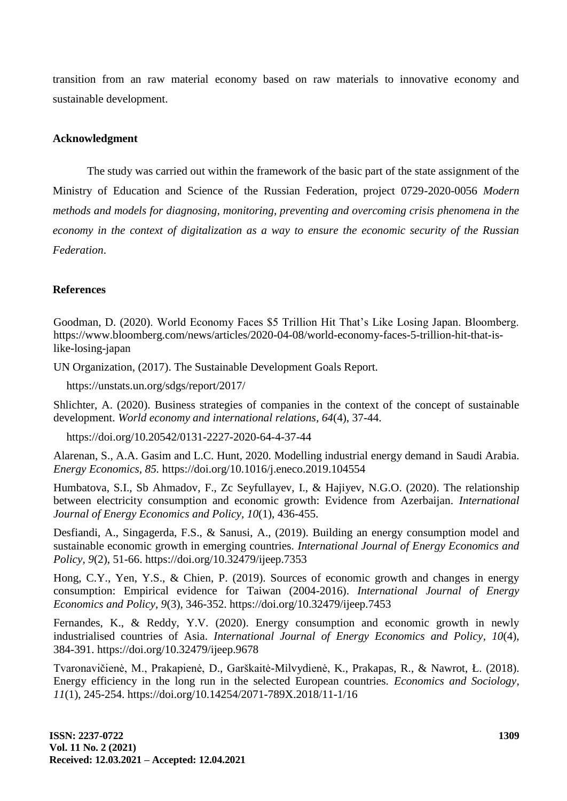transition from an raw material economy based on raw materials to innovative economy and sustainable development.

## **Acknowledgment**

The study was carried out within the framework of the basic part of the state assignment of the Ministry of Education and Science of the Russian Federation, project 0729-2020-0056 *Modern methods and models for diagnosing, monitoring, preventing and overcoming crisis phenomena in the economy in the context of digitalization as a way to ensure the economic security of the Russian Federation*.

## **References**

Goodman, D. (2020). World Economy Faces \$5 Trillion Hit That's Like Losing Japan. Bloomberg. https://www.bloomberg.com/news/articles/2020-04-08/world-economy-faces-5-trillion-hit-that-islike-losing-japan

UN Organization, (2017). The Sustainable Development Goals Report.

https://unstats.un.org/sdgs/report/2017/

Shlichter, A. (2020). Business strategies of companies in the context of the concept of sustainable development. *World economy and international relations, 64*(4), 37-44.

https://doi.org/10.20542/0131-2227-2020-64-4-37-44

Alarenan, S., A.A. Gasim and L.C. Hunt, 2020. Modelling industrial energy demand in Saudi Arabia. *Energy Economics, 85.* https://doi.org/10.1016/j.eneco.2019.104554

Humbatova, S.I., Sb Ahmadov, F., Zc Seyfullayev, I., & Hajiyev, N.G.O. (2020). The relationship between electricity consumption and economic growth: Evidence from Azerbaijan. *International Journal of Energy Economics and Policy, 10*(1), 436-455.

Desfiandi, A., Singagerda, F.S., & Sanusi, A., (2019). Building an energy consumption model and sustainable economic growth in emerging countries. *International Journal of Energy Economics and Policy, 9*(2), 51-66. https://doi.org/10.32479/ijeep.7353

Hong, C.Y., Yen, Y.S., & Chien, P. (2019). Sources of economic growth and changes in energy consumption: Empirical evidence for Taiwan (2004-2016). *International Journal of Energy Economics and Policy, 9*(3), 346-352. https://doi.org/10.32479/ijeep.7453

Fernandes, K., & Reddy, Y.V. (2020). Energy consumption and economic growth in newly industrialised countries of Asia. *International Journal of Energy Economics and Policy, 10*(4), 384-391. https://doi.org/10.32479/ijeep.9678

Tvaronavičienė, M., Prakapienė, D., Garškaitė-Milvydienė, K., Prakapas, R., & Nawrot, Ł. (2018). Energy efficiency in the long run in the selected European countries. *Economics and Sociology, 11*(1), 245-254. https://doi.org/10.14254/2071-789X.2018/11-1/16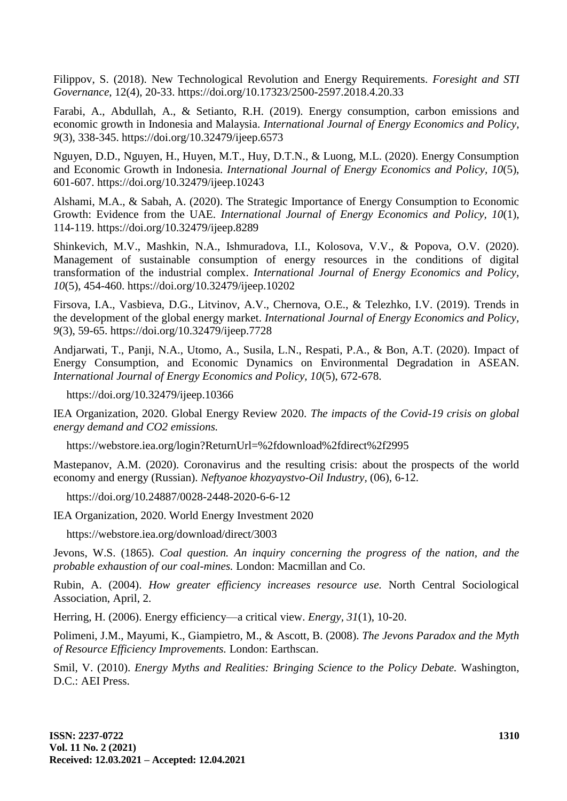Filippov, S. (2018). New Technological Revolution and Energy Requirements. *Foresight and STI Governance*, 12(4), 20-33. https://doi.org/10.17323/2500-2597.2018.4.20.33

Farabi, A., Abdullah, A., & Setianto, R.H. (2019). Energy consumption, carbon emissions and economic growth in Indonesia and Malaysia. *International Journal of Energy Economics and Policy, 9*(3), 338-345. https://doi.org/10.32479/ijeep.6573

Nguyen, D.D., Nguyen, H., Huyen, M.T., Huy, D.T.N., & Luong, M.L. (2020). Energy Consumption and Economic Growth in Indonesia. *International Journal of Energy Economics and Policy, 10*(5), 601-607. https://doi.org/10.32479/ijeep.10243

Alshami, M.A., & Sabah, A. (2020). The Strategic Importance of Energy Consumption to Economic Growth: Evidence from the UAE. *International Journal of Energy Economics and Policy, 10*(1), 114-119. https://doi.org/10.32479/ijeep.8289

Shinkevich, M.V., Mashkin, N.A., Ishmuradova, I.I., Kolosova, V.V., & Popova, O.V. (2020). Management of sustainable consumption of energy resources in the conditions of digital transformation of the industrial complex. *International Journal of Energy Economics and Policy, 10*(5), 454-460. https://doi.org/10.32479/ijeep.10202

Firsova, I.A., Vasbieva, D.G., Litvinov, A.V., Chernova, O.E., & Telezhko, I.V. (2019). Trends in the development of the global energy market. *International Journal of Energy Economics and Policy, 9*(3), 59-65. https://doi.org/10.32479/ijeep.7728

Andjarwati, T., Panji, N.A., Utomo, A., Susila, L.N., Respati, P.A., & Bon, A.T. (2020). Impact of Energy Consumption, and Economic Dynamics on Environmental Degradation in ASEAN. *International Journal of Energy Economics and Policy, 10*(5), 672-678.

https://doi.org/10.32479/ijeep.10366

IEA Organization, 2020. Global Energy Review 2020. *The impacts of the Covid-19 crisis on global energy demand and CO2 emissions.*

https://webstore.iea.org/login?ReturnUrl=%2fdownload%2fdirect%2f2995

Mastepanov, A.M. (2020). Coronavirus and the resulting crisis: about the prospects of the world economy and energy (Russian). *Neftyanoe khozyaystvo-Oil Industry,* (06), 6-12.

https://doi.org/10.24887/0028-2448-2020-6-6-12

IEA Organization, 2020. World Energy Investment 2020

<https://webstore.iea.org/download/direct/3003>

Jevons, W.S. (1865). *Coal question. An inquiry concerning the progress of the nation, and the probable exhaustion of our coal-mines.* London: Macmillan and Co.

Rubin, A. (2004). *How greater efficiency increases resource use.* North Central Sociological Association, April, 2.

Herring, H. (2006). Energy efficiency—a critical view. *Energy, 31*(1), 10-20.

Polimeni, J.M., Mayumi, K., Giampietro, M., & Ascott, B. (2008). *The Jevons Paradox and the Myth of Resource Efficiency Improvements.* London: Earthscan.

Smil, V. (2010). *Energy Myths and Realities: Bringing Science to the Policy Debate.* Washington, D.C.: AEI Press.